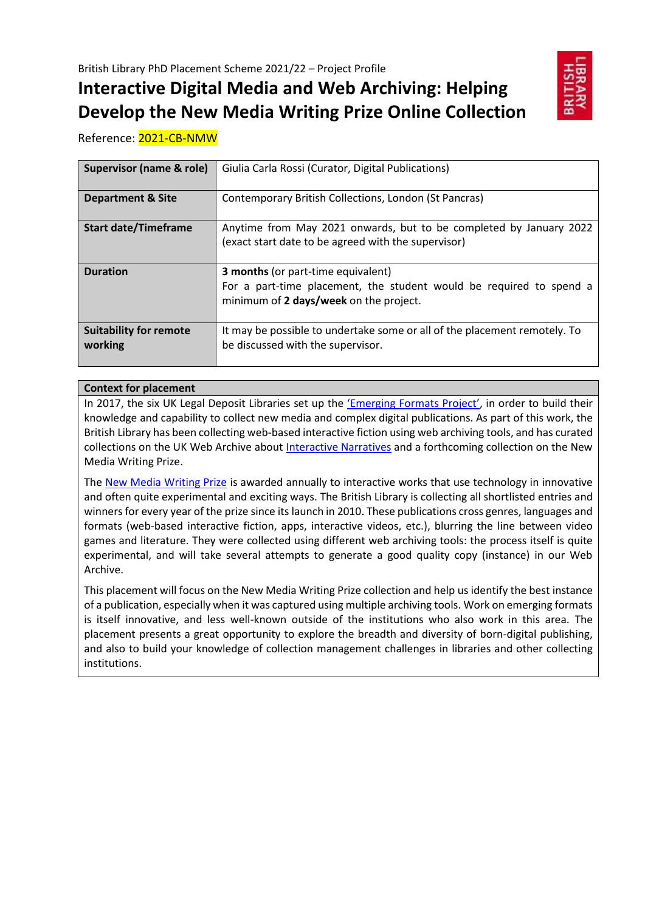# **Interactive Digital Media and Web Archiving: Helping Develop the New Media Writing Prize Online Collection**



Reference: 2021-CB-NMW

| <b>Supervisor (name &amp; role)</b>      | Giulia Carla Rossi (Curator, Digital Publications)                                                                                                         |
|------------------------------------------|------------------------------------------------------------------------------------------------------------------------------------------------------------|
| <b>Department &amp; Site</b>             | Contemporary British Collections, London (St Pancras)                                                                                                      |
| <b>Start date/Timeframe</b>              | Anytime from May 2021 onwards, but to be completed by January 2022<br>(exact start date to be agreed with the supervisor)                                  |
| <b>Duration</b>                          | <b>3 months (or part-time equivalent)</b><br>For a part-time placement, the student would be required to spend a<br>minimum of 2 days/week on the project. |
| <b>Suitability for remote</b><br>working | It may be possible to undertake some or all of the placement remotely. To<br>be discussed with the supervisor.                                             |

## **Context for placement**

In 2017, the six UK Legal Deposit Libraries set up the ['Emerging Formats Project'](https://www.bl.uk/projects/emerging-formats), in order to build their knowledge and capability to collect new media and complex digital publications. As part of this work, the British Library has been collecting web-based interactive fiction using web archiving tools, and has curated collections on the UK Web Archive about [Interactive Narratives](https://www.webarchive.org.uk/en/ukwa/collection/1836) and a forthcoming collection on the New Media Writing Prize.

The [New Media Writing Prize](https://newmediawritingprize.co.uk/) is awarded annually to interactive works that use technology in innovative and often quite experimental and exciting ways. The British Library is collecting all shortlisted entries and winners for every year of the prize since its launch in 2010. These publications cross genres, languages and formats (web-based interactive fiction, apps, interactive videos, etc.), blurring the line between video games and literature. They were collected using different web archiving tools: the process itself is quite experimental, and will take several attempts to generate a good quality copy (instance) in our Web Archive.

This placement will focus on the New Media Writing Prize collection and help us identify the best instance of a publication, especially when it was captured using multiple archiving tools. Work on emerging formats is itself innovative, and less well-known outside of the institutions who also work in this area. The placement presents a great opportunity to explore the breadth and diversity of born-digital publishing, and also to build your knowledge of collection management challenges in libraries and other collecting institutions.